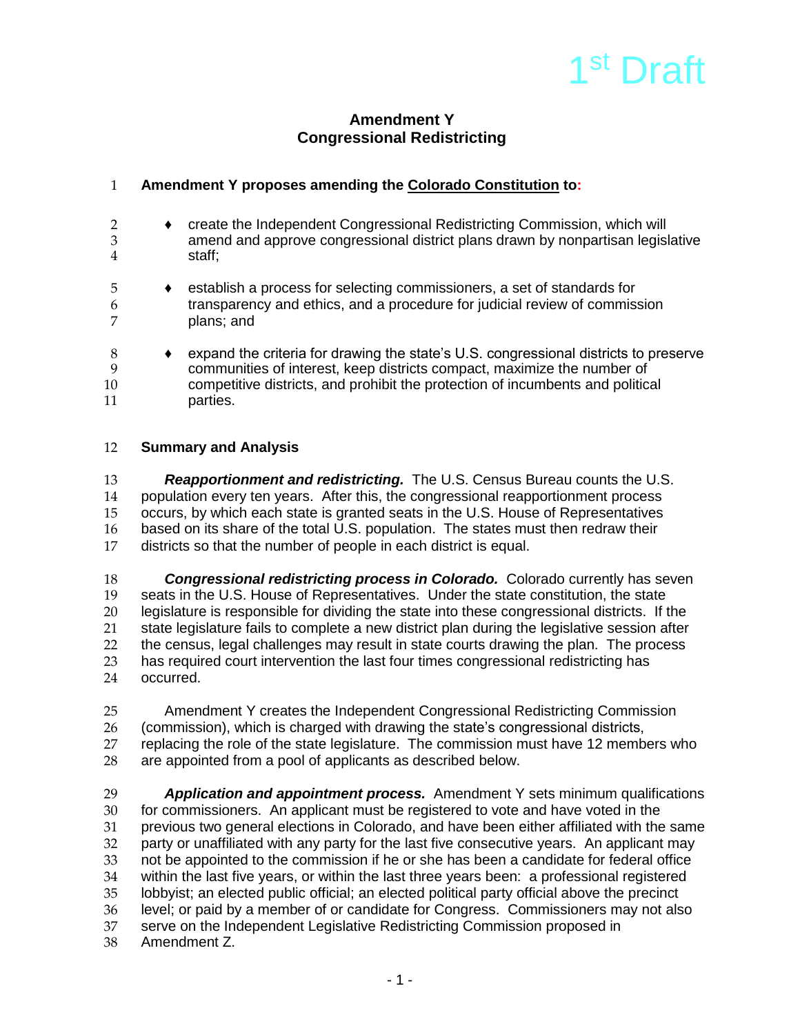

# **Amendment Y Congressional Redistricting**

## 1 **Amendment Y proposes amending the Colorado Constitution to:**

- 2 ♦ create the Independent Congressional Redistricting Commission, which will amend and approve congressional district plans drawn by nonpartisan legislative 4 staff;
- 5 ♦ establish a process for selecting commissioners, a set of standards for 6 transparency and ethics, and a procedure for judicial review of commission 7 plans; and
- 8 ♦ expand the criteria for drawing the state's U.S. congressional districts to preserve 9 communities of interest, keep districts compact, maximize the number of 10 competitive districts, and prohibit the protection of incumbents and political 11 parties.

#### 12 **Summary and Analysis**

13 **Reapportionment and redistricting.** The U.S. Census Bureau counts the U.S.<br>14 Depulation every ten years. After this, the congressional reapportionment process 14 population every ten years. After this, the congressional reapportionment process<br>15 occurs, by which each state is granted seats in the U.S. House of Representatives occurs, by which each state is granted seats in the U.S. House of Representatives 16 based on its share of the total U.S. population. The states must then redraw their 17 districts so that the number of people in each district is equal.

18 *Congressional redistricting process in Colorado.* Colorado currently has seven 19 seats in the U.S. House of Representatives. Under the state constitution, the state<br>20 legislature is responsible for dividing the state into these congressional districts. If t legislature is responsible for dividing the state into these congressional districts. If the 21 state legislature fails to complete a new district plan during the legislative session after 22 the census, legal challenges may result in state courts drawing the plan. The process<br>23 has required court intervention the last four times congressional redistricting has has required court intervention the last four times congressional redistricting has 24 occurred.

25 Amendment Y creates the Independent Congressional Redistricting Commission<br>26 (commission), which is charged with drawing the state's congressional districts. 26 (commission), which is charged with drawing the state's congressional districts,<br>27 replacing the role of the state legislature. The commission must have 12 memb replacing the role of the state legislature. The commission must have 12 members who 28 are appointed from a pool of applicants as described below.

29 *Application and appointment process.* Amendment Y sets minimum qualifications 30 for commissioners. An applicant must be registered to vote and have voted in the 31 previous two general elections in Colorado, and have been either affiliated with the same<br>32 party or unaffiliated with any party for the last five consecutive vears. An applicant may party or unaffiliated with any party for the last five consecutive years. An applicant may 33 not be appointed to the commission if he or she has been a candidate for federal office<br>34 within the last five vears, or within the last three vears been: a professional registered 34 within the last five years, or within the last three years been: a professional registered lobbyist; an elected public official; an elected political party official above the precinct 36 level; or paid by a member of or candidate for Congress. Commissioners may not also 37 serve on the Independent Legislative Redistricting Commission proposed in 38 Amendment Z.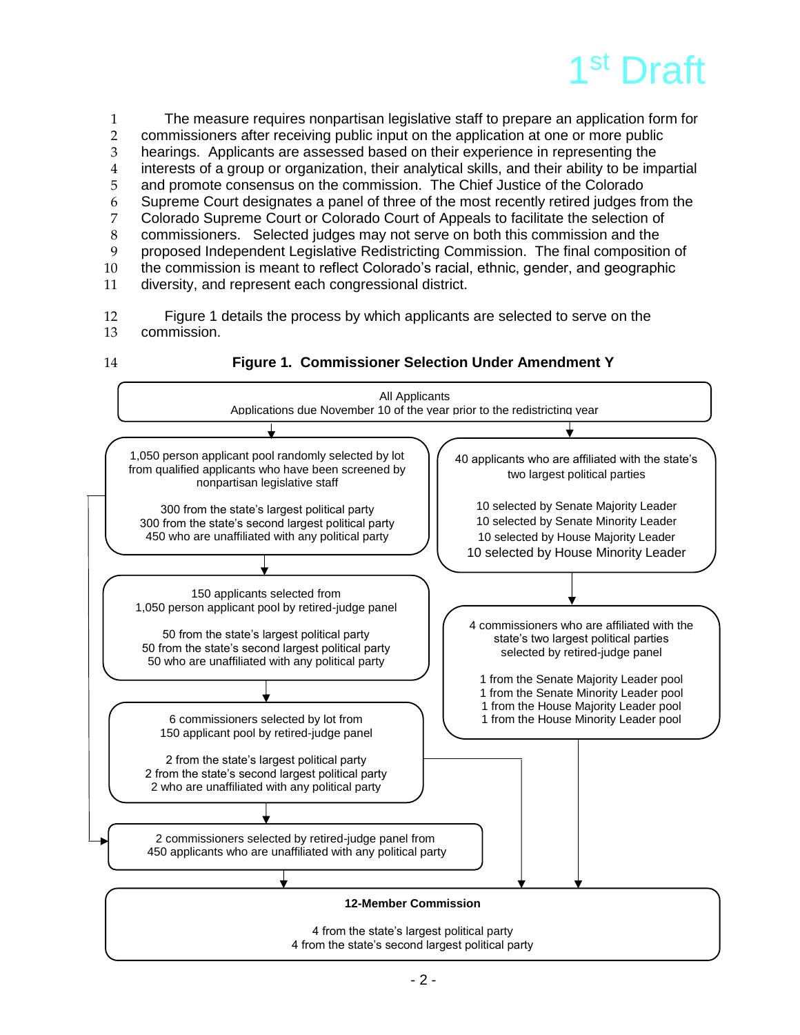

 The measure requires nonpartisan legislative staff to prepare an application form for commissioners after receiving public input on the application at one or more public hearings. Applicants are assessed based on their experience in representing the interests of a group or organization, their analytical skills, and their ability to be impartial and promote consensus on the commission. The Chief Justice of the Colorado Supreme Court designates a panel of three of the most recently retired judges from the Colorado Supreme Court or Colorado Court of Appeals to facilitate the selection of 8 commissioners. Selected judges may not serve on both this commission and the<br>9 oroposed Independent Legislative Redistricting Commission. The final composition proposed Independent Legislative Redistricting Commission. The final composition of the commission is meant to reflect Colorado's racial, ethnic, gender, and geographic diversity, and represent each congressional district.

12 Figure 1 details the process by which applicants are selected to serve on the<br>13 commission. commission.

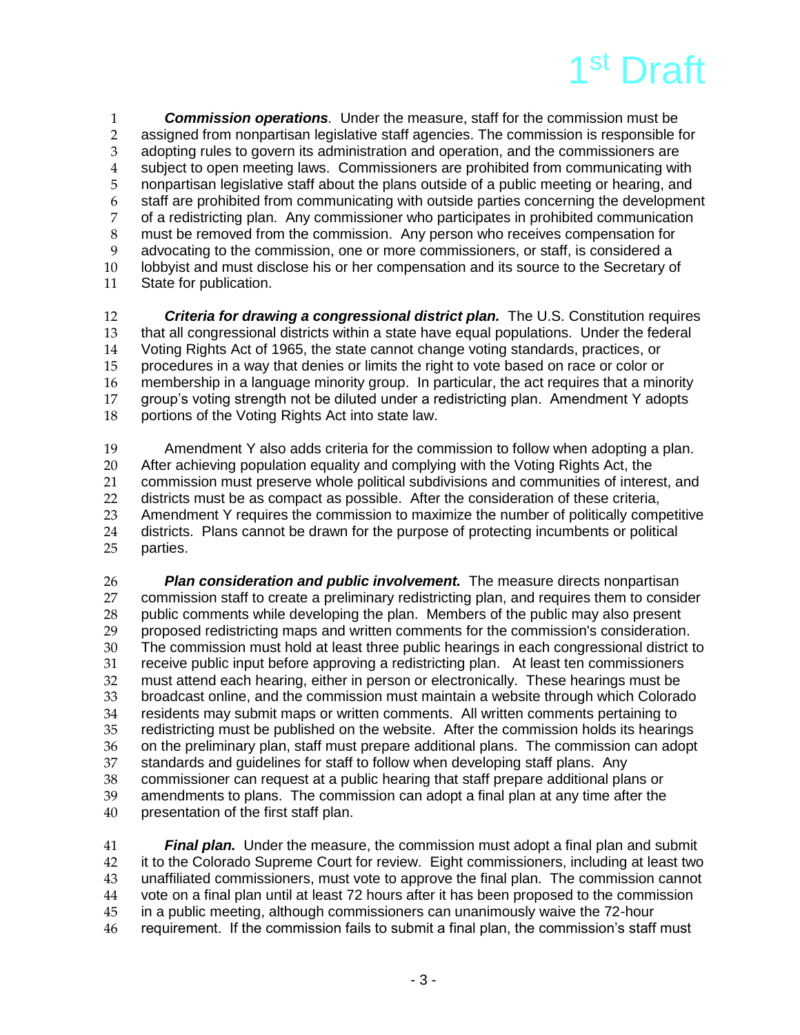

 *Commission operations.* Under the measure, staff for the commission must be 2 assigned from nonpartisan legislative staff agencies. The commission is responsible for<br>3 adopting rules to govern its administration and operation, and the commissioners are adopting rules to govern its administration and operation, and the commissioners are subject to open meeting laws. Commissioners are prohibited from communicating with nonpartisan legislative staff about the plans outside of a public meeting or hearing, and staff are prohibited from communicating with outside parties concerning the development of a redistricting plan. Any commissioner who participates in prohibited communication must be removed from the commission. Any person who receives compensation for advocating to the commission, one or more commissioners, or staff, is considered a lobbyist and must disclose his or her compensation and its source to the Secretary of State for publication.

 *Criteria for drawing a congressional district plan.* The U.S. Constitution requires that all congressional districts within a state have equal populations. Under the federal Voting Rights Act of 1965, the state cannot change voting standards, practices, or procedures in a way that denies or limits the right to vote based on race or color or membership in a language minority group. In particular, the act requires that a minority group's voting strength not be diluted under a redistricting plan. Amendment Y adopts portions of the Voting Rights Act into state law.

 Amendment Y also adds criteria for the commission to follow when adopting a plan. After achieving population equality and complying with the Voting Rights Act, the commission must preserve whole political subdivisions and communities of interest, and districts must be as compact as possible. After the consideration of these criteria, 23 Amendment Y requires the commission to maximize the number of politically competitive<br>24 districts. Plans cannot be drawn for the purpose of protecting incumbents or political 24 districts. Plans cannot be drawn for the purpose of protecting incumbents or political<br>25 parties. parties.

 *Plan consideration and public involvement.* The measure directs nonpartisan commission staff to create a preliminary redistricting plan, and requires them to consider public comments while developing the plan. Members of the public may also present 29 proposed redistricting maps and written comments for the commission's consideration.<br>20 The commission must hold at least three public hearings in each congressional district The commission must hold at least three public hearings in each congressional district to receive public input before approving a redistricting plan. At least ten commissioners 32 must attend each hearing, either in person or electronically. These hearings must be<br>33 broadcast online, and the commission must maintain a website through which Colorac broadcast online, and the commission must maintain a website through which Colorado residents may submit maps or written comments. All written comments pertaining to redistricting must be published on the website. After the commission holds its hearings 36 on the preliminary plan, staff must prepare additional plans. The commission can adopt 37 standards and quidelines for staff to follow when developing staff plans. Any 37 standards and guidelines for staff to follow when developing staff plans. Any<br>38 commissioner can request at a public hearing that staff prepare additional pla 38 commissioner can request at a public hearing that staff prepare additional plans or<br>39 amendments to plans. The commission can adopt a final plan at any time after the 39 amendments to plans. The commission can adopt a final plan at any time after the presentation of the first staff plan. presentation of the first staff plan.

 *Final plan.* Under the measure, the commission must adopt a final plan and submit it to the Colorado Supreme Court for review. Eight commissioners, including at least two unaffiliated commissioners, must vote to approve the final plan. The commission cannot vote on a final plan until at least 72 hours after it has been proposed to the commission in a public meeting, although commissioners can unanimously waive the 72-hour requirement. If the commission fails to submit a final plan, the commission's staff must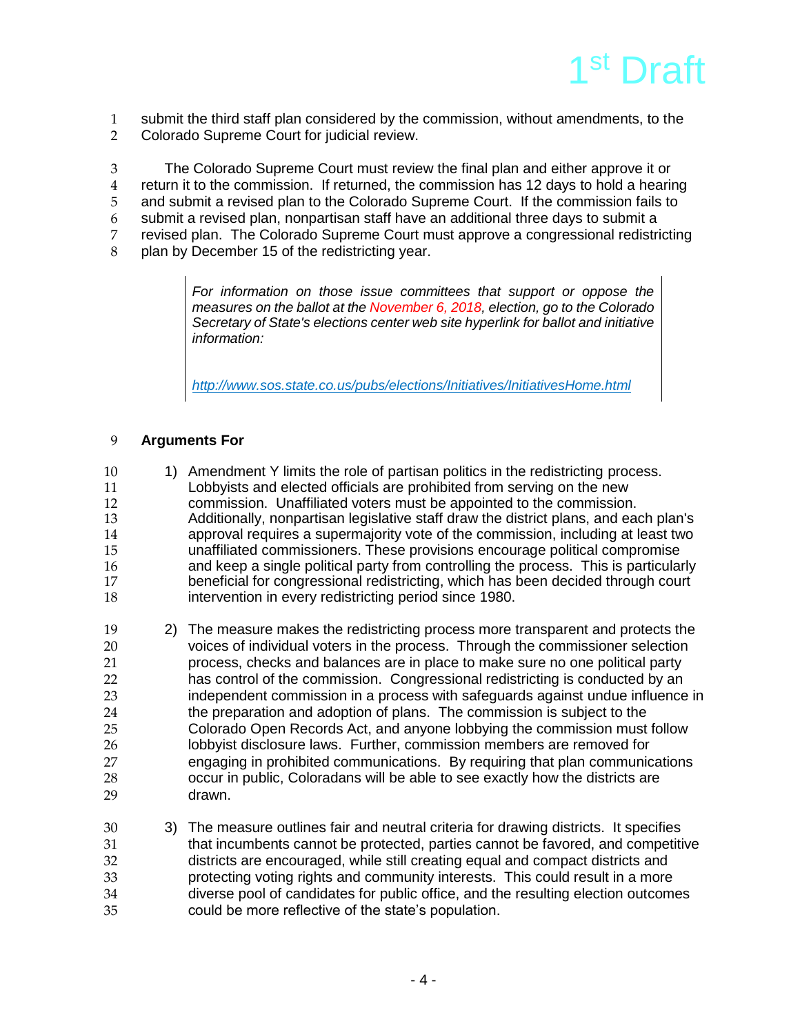

1 submit the third staff plan considered by the commission, without amendments, to the 2 Colorado Supreme Court for judicial review.

3 The Colorado Supreme Court must review the final plan and either approve it or

- 4 return it to the commission. If returned, the commission has 12 days to hold a hearing
- 5 and submit a revised plan to the Colorado Supreme Court. If the commission fails to
- 6 submit a revised plan, nonpartisan staff have an additional three days to submit a
- 7 revised plan. The Colorado Supreme Court must approve a congressional redistricting<br>8 blan by December 15 of the redistricting vear.
- plan by December 15 of the redistricting year.

*For information on those issue committees that support or oppose the measures on the ballot at the November 6, 2018, election, go to the Colorado Secretary of State's elections center web site hyperlink for ballot and initiative information:*

*<http://www.sos.state.co.us/pubs/elections/Initiatives/InitiativesHome.html>*

### 9 **Arguments For**

- 10 1) Amendment Y limits the role of partisan politics in the redistricting process.<br>11 Lobbyists and elected officials are prohibited from serving on the new 11 Lobbyists and elected officials are prohibited from serving on the new<br>12 commission. Unaffiliated voters must be appointed to the commission 12 commission. Unaffiliated voters must be appointed to the commission.<br>13 Additionally, nonpartisan legislative staff draw the district plans, and ea 13 Additionally, nonpartisan legislative staff draw the district plans, and each plan's<br>14 approval requires a supermaiority vote of the commission, including at least two 14 approval requires a supermajority vote of the commission, including at least two<br>15 magnetiliated commissioners. These provisions encourage political compromise 15 unaffiliated commissioners. These provisions encourage political compromise 16 and keep a single political party from controlling the process. This is particularly<br>17 beneficial for congressional redistricting, which has been decided through court 17 beneficial for congressional redistricting, which has been decided through court<br>18 intervention in every redistricting period since 1980. intervention in every redistricting period since 1980.
- 19 2) The measure makes the redistricting process more transparent and protects the<br>20 voices of individual voters in the process. Through the commissioner selection voices of individual voters in the process. Through the commissioner selection 21 process, checks and balances are in place to make sure no one political party 22 has control of the commission. Congressional redistricting is conducted by an 23 independent commission in a process with safeguards against undue influence in 24 the preparation and adoption of plans. The commission is subject to the 25 Colorado Open Records Act, and anyone lobbying the commission must follow 26 lobbyist disclosure laws. Further, commission members are removed for<br>27 engaging in prohibited communications. By requiring that plan communic 27 engaging in prohibited communications. By requiring that plan communications 28 occur in public, Coloradans will be able to see exactly how the districts are 29 drawn.
- 30 3) The measure outlines fair and neutral criteria for drawing districts. It specifies 31 that incumbents cannot be protected, parties cannot be favored, and competitive 32 districts are encouraged, while still creating equal and compact districts and<br>33 organization voting rights and community interests. This could result in a more protecting voting rights and community interests. This could result in a more 34 diverse pool of candidates for public office, and the resulting election outcomes 35 could be more reflective of the state's population.